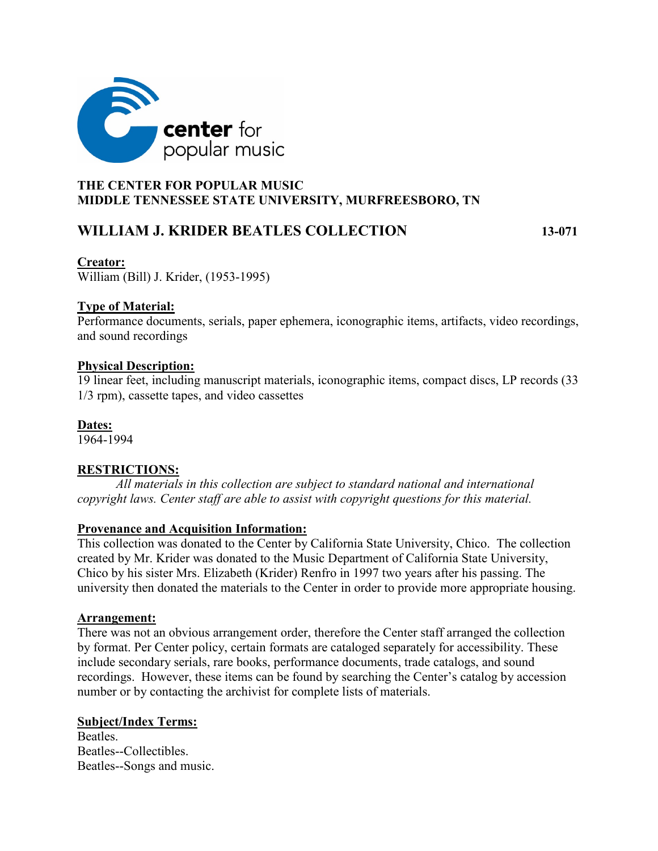

# **THE CENTER FOR POPULAR MUSIC MIDDLE TENNESSEE STATE UNIVERSITY, MURFREESBORO, TN**

# **WILLIAM J. KRIDER BEATLES COLLECTION 13-071**

### **Creator:**

William (Bill) J. Krider, (1953-1995)

# **Type of Material:**

Performance documents, serials, paper ephemera, iconographic items, artifacts, video recordings, and sound recordings

## **Physical Description:**

19 linear feet, including manuscript materials, iconographic items, compact discs, LP records (33 1/3 rpm), cassette tapes, and video cassettes

**Dates:** 

1964-1994

# **RESTRICTIONS:**

*All materials in this collection are subject to standard national and international copyright laws. Center staff are able to assist with copyright questions for this material.*

## **Provenance and Acquisition Information:**

This collection was donated to the Center by California State University, Chico. The collection created by Mr. Krider was donated to the Music Department of California State University, Chico by his sister Mrs. Elizabeth (Krider) Renfro in 1997 two years after his passing. The university then donated the materials to the Center in order to provide more appropriate housing.

## **Arrangement:**

There was not an obvious arrangement order, therefore the Center staff arranged the collection by format. Per Center policy, certain formats are cataloged separately for accessibility. These include secondary serials, rare books, performance documents, trade catalogs, and sound recordings. However, these items can be found by searching the Center's catalog by accession number or by contacting the archivist for complete lists of materials.

## **Subject/Index Terms:**

Beatles. Beatles--Collectibles. Beatles--Songs and music.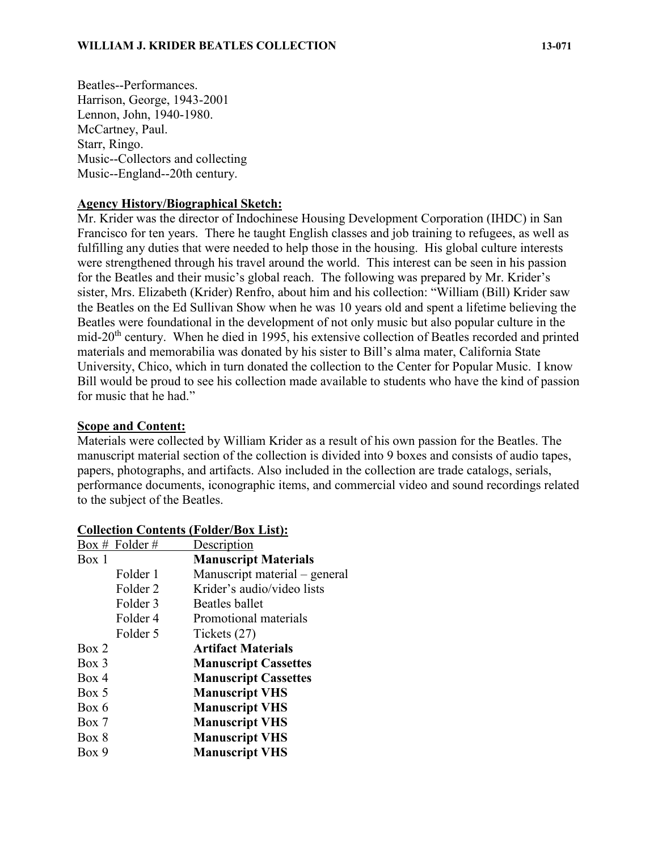Beatles--Performances. Harrison, George, 1943-2001 Lennon, John, 1940-1980. McCartney, Paul. Starr, Ringo. Music--Collectors and collecting Music--England--20th century.

#### **Agency History/Biographical Sketch:**

Mr. Krider was the director of Indochinese Housing Development Corporation (IHDC) in San Francisco for ten years. There he taught English classes and job training to refugees, as well as fulfilling any duties that were needed to help those in the housing. His global culture interests were strengthened through his travel around the world. This interest can be seen in his passion for the Beatles and their music's global reach. The following was prepared by Mr. Krider's sister, Mrs. Elizabeth (Krider) Renfro, about him and his collection: "William (Bill) Krider saw the Beatles on the Ed Sullivan Show when he was 10 years old and spent a lifetime believing the Beatles were foundational in the development of not only music but also popular culture in the mid-20th century. When he died in 1995, his extensive collection of Beatles recorded and printed materials and memorabilia was donated by his sister to Bill's alma mater, California State University, Chico, which in turn donated the collection to the Center for Popular Music. I know Bill would be proud to see his collection made available to students who have the kind of passion for music that he had."

#### **Scope and Content:**

Materials were collected by William Krider as a result of his own passion for the Beatles. The manuscript material section of the collection is divided into 9 boxes and consists of audio tapes, papers, photographs, and artifacts. Also included in the collection are trade catalogs, serials, performance documents, iconographic items, and commercial video and sound recordings related to the subject of the Beatles.

| Box # Folder #      | Description                   |
|---------------------|-------------------------------|
| Box 1               | <b>Manuscript Materials</b>   |
| Folder 1            | Manuscript material – general |
| Folder 2            | Krider's audio/video lists    |
| Folder <sub>3</sub> | Beatles ballet                |
| Folder <sub>4</sub> | Promotional materials         |
| Folder 5            | Tickets (27)                  |
| Box 2               | <b>Artifact Materials</b>     |
| $Box\ 3$            | <b>Manuscript Cassettes</b>   |
| Box 4               | <b>Manuscript Cassettes</b>   |
| Box 5               | <b>Manuscript VHS</b>         |
| Box 6               | <b>Manuscript VHS</b>         |
| Box 7               | <b>Manuscript VHS</b>         |
| Box 8               | <b>Manuscript VHS</b>         |
| Box 9               | <b>Manuscript VHS</b>         |

#### **Collection Contents (Folder/Box List):**